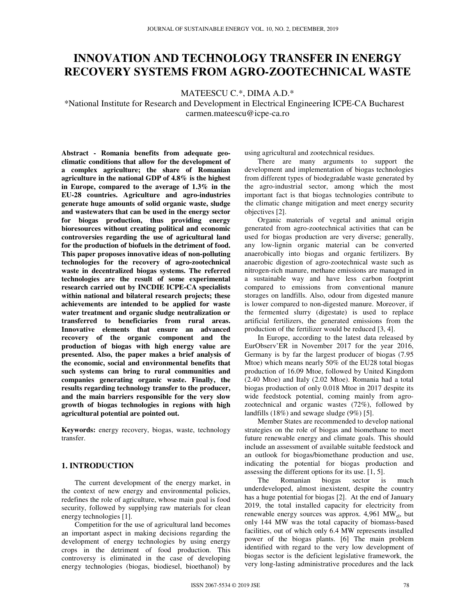# **INNOVATION AND TECHNOLOGY TRANSFER IN ENERGY RECOVERY SYSTEMS FROM AGRO-ZOOTECHNICAL WASTE**

MATEESCU C.\*, DIMA A.D.\*

\*National Institute for Research and Development in Electrical Engineering ICPE-CA Bucharest carmen.mateescu@icpe-ca.ro

**Abstract - Romania benefits from adequate geoclimatic conditions that allow for the development of a complex agriculture; the share of Romanian agriculture in the national GDP of 4.8% is the highest in Europe, compared to the average of 1.3% in the EU-28 countries. Agriculture and agro-industries generate huge amounts of solid organic waste, sludge and wastewaters that can be used in the energy sector for biogas production, thus providing energy bioresources without creating political and economic controversies regarding the use of agricultural land for the production of biofuels in the detriment of food. This paper proposes innovative ideas of non-polluting technologies for the recovery of agro-zootechnical waste in decentralized biogas systems. The referred technologies are the result of some experimental research carried out by INCDIE ICPE-CA specialists within national and bilateral research projects; these achievements are intended to be applied for waste water treatment and organic sludge neutralization or transferred to beneficiaries from rural areas. Innovative elements that ensure an advanced recovery of the organic component and the production of biogas with high energy value are presented. Also, the paper makes a brief analysis of the economic, social and environmental benefits that such systems can bring to rural communities and companies generating organic waste. Finally, the results regarding technology transfer to the producer, and the main barriers responsible for the very slow growth of biogas technologies in regions with high agricultural potential are pointed out.** 

**Keywords:** energy recovery, biogas, waste, technology transfer.

### **1. INTRODUCTION**

The current development of the energy market, in the context of new energy and environmental policies, redefines the role of agriculture, whose main goal is food security, followed by supplying raw materials for clean energy technologies [1].

Competition for the use of agricultural land becomes an important aspect in making decisions regarding the development of energy technologies by using energy crops in the detriment of food production. This controversy is eliminated in the case of developing energy technologies (biogas, biodiesel, bioethanol) by

using agricultural and zootechnical residues.

There are many arguments to support the development and implementation of biogas technologies from different types of biodegradable waste generated by the agro-industrial sector, among which the most important fact is that biogas technologies contribute to the climatic change mitigation and meet energy security objectives [2].

Organic materials of vegetal and animal origin generated from agro-zootechnical activities that can be used for biogas production are very diverse; generally, any low-lignin organic material can be converted anaerobically into biogas and organic fertilizers. By anaerobic digestion of agro-zootechnical waste such as nitrogen-rich manure, methane emissions are managed in a sustainable way and have less carbon footprint compared to emissions from conventional manure storages on landfills. Also, odour from digested manure is lower compared to non-digested manure. Moreover, if the fermented slurry (digestate) is used to replace artificial fertilizers, the generated emissions from the production of the fertilizer would be reduced [3, 4].

In Europe, according to the latest data released by EurObserv'ER in November 2017 for the year 2016, Germany is by far the largest producer of biogas (7.95 Mtoe) which means nearly 50% of the EU28 total biogas production of 16.09 Mtoe, followed by United Kingdom (2.40 Mtoe) and Italy (2.02 Mtoe). Romania had a total biogas production of only 0.018 Mtoe in 2017 despite its wide feedstock potential, coming mainly from agrozootechnical and organic wastes (72%), followed by landfills (18%) and sewage sludge (9%) [5].

Member States are recommended to develop national strategies on the role of biogas and biomethane to meet future renewable energy and climate goals. This should include an assessment of available suitable feedstock and an outlook for biogas/biomethane production and use, indicating the potential for biogas production and assessing the different options for its use. [1, 5].

The Romanian biogas sector is much underdeveloped, almost inexistent, despite the country has a huge potential for biogas [2]. At the end of January 2019, the total installed capacity for electricity from renewable energy sources was approx.  $4,961$  MW<sub>el</sub>, but only 144 MW was the total capacity of biomass-based facilities, out of which only 6.4 MW represents installed power of the biogas plants. [6] The main problem identified with regard to the very low development of biogas sector is the deficient legislative framework, the very long-lasting administrative procedures and the lack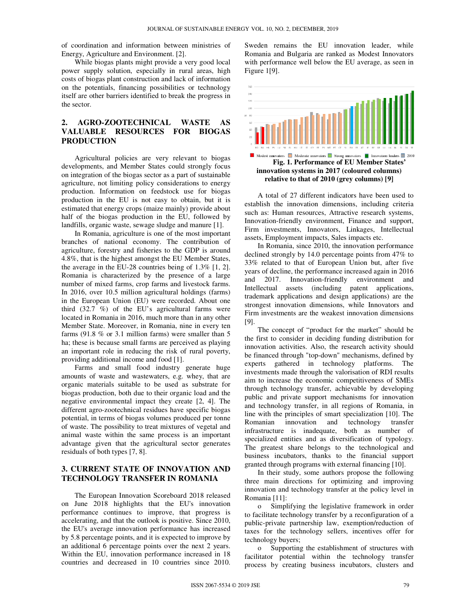of coordination and information between ministries of Energy, Agriculture and Environment. [2].

While biogas plants might provide a very good local power supply solution, especially in rural areas, high costs of biogas plant construction and lack of information on the potentials, financing possibilities or technology itself are other barriers identified to break the progress in the sector.

# **2. AGRO-ZOOTECHNICAL WASTE AS VALUABLE RESOURCES FOR BIOGAS PRODUCTION**

Agricultural policies are very relevant to biogas developments, and Member States could strongly focus on integration of the biogas sector as a part of sustainable agriculture, not limiting policy considerations to energy production. Information on feedstock use for biogas production in the EU is not easy to obtain, but it is estimated that energy crops (maize mainly) provide about half of the biogas production in the EU, followed by landfills, organic waste, sewage sludge and manure [1].

In Romania, agriculture is one of the most important branches of national economy. The contribution of agriculture, forestry and fisheries to the GDP is around 4.8%, that is the highest amongst the EU Member States, the average in the EU-28 countries being of 1.3% [1, 2]. Romania is characterized by the presence of a large number of mixed farms, crop farms and livestock farms. In 2016, over 10.5 million agricultural holdings (farms) in the European Union (EU) were recorded. About one third (32.7 %) of the EU's agricultural farms were located in Romania in 2016, much more than in any other Member State. Moreover, in Romania, nine in every ten farms (91.8 % or 3.1 million farms) were smaller than 5 ha; these is because small farms are perceived as playing an important role in reducing the risk of rural poverty, providing additional income and food [1].

Farms and small food industry generate huge amounts of waste and wastewaters, e.g. whey, that are organic materials suitable to be used as substrate for biogas production, both due to their organic load and the negative environmental impact they create [2, 4]. The different agro-zootechnical residues have specific biogas potential, in terms of biogas volumes produced per tonne of waste. The possibility to treat mixtures of vegetal and animal waste within the same process is an important advantage given that the agricultural sector generates residuals of both types [7, 8].

# **3. CURRENT STATE OF INNOVATION AND TECHNOLOGY TRANSFER IN ROMANIA**

The European Innovation Scoreboard 2018 released on June 2018 highlights that the EU's innovation performance continues to improve, that progress is accelerating, and that the outlook is positive. Since 2010, the EU's average innovation performance has increased by 5.8 percentage points, and it is expected to improve by an additional 6 percentage points over the next 2 years. Within the EU, innovation performance increased in 18 countries and decreased in 10 countries since 2010.

Sweden remains the EU innovation leader, while Romania and Bulgaria are ranked as Modest Innovators with performance well below the EU average, as seen in Figure 1[9].



A total of 27 different indicators have been used to establish the innovation dimensions, including criteria such as: Human resources, Attractive research systems, Innovation-friendly environment, Finance and support, Firm investments, Innovators, Linkages, Intellectual assets, Employment impacts, Sales impacts etc.

In Romania, since 2010, the innovation performance declined strongly by 14.0 percentage points from 47% to 33% related to that of European Union but, after five years of decline, the performance increased again in 2016 and 2017. Innovation-friendly environment and Intellectual assets (including patent applications, trademark applications and design applications) are the strongest innovation dimensions, while Innovators and Firm investments are the weakest innovation dimensions [9].

The concept of "product for the market" should be the first to consider in deciding funding distribution for innovation activities. Also, the research activity should be financed through "top-down" mechanisms, defined by experts gathered in technology platforms. The investments made through the valorisation of RDI results aim to increase the economic competitiveness of SMEs through technology transfer, achievable by developing public and private support mechanisms for innovation and technology transfer, in all regions of Romania, in line with the principles of smart specialization [10]. The Romanian innovation and technology transfer infrastructure is inadequate, both as number of specialized entities and as diversification of typology. The greatest share belongs to the technological and business incubators, thanks to the financial support granted through programs with external financing [10].

In their study, some authors propose the following three main directions for optimizing and improving innovation and technology transfer at the policy level in Romania [11]:

o Simplifying the legislative framework in order to facilitate technology transfer by a reconfiguration of a public-private partnership law, exemption/reduction of taxes for the technology sellers, incentives offer for technology buyers;

o Supporting the establishment of structures with facilitator potential within the technology transfer process by creating business incubators, clusters and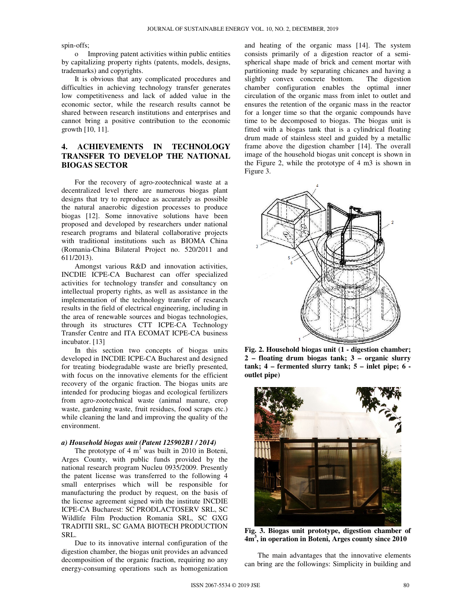spin-offs;

o Improving patent activities within public entities by capitalizing property rights (patents, models, designs, trademarks) and copyrights.

It is obvious that any complicated procedures and difficulties in achieving technology transfer generates low competitiveness and lack of added value in the economic sector, while the research results cannot be shared between research institutions and enterprises and cannot bring a positive contribution to the economic growth [10, 11].

# **4. ACHIEVEMENTS IN TECHNOLOGY TRANSFER TO DEVELOP THE NATIONAL BIOGAS SECTOR**

For the recovery of agro-zootechnical waste at a decentralized level there are numerous biogas plant designs that try to reproduce as accurately as possible the natural anaerobic digestion processes to produce biogas [12]. Some innovative solutions have been proposed and developed by researchers under national research programs and bilateral collaborative projects with traditional institutions such as BIOMA China (Romania-China Bilateral Project no. 520/2011 and 611/2013).

Amongst various R&D and innovation activities, INCDIE ICPE-CA Bucharest can offer specialized activities for technology transfer and consultancy on intellectual property rights, as well as assistance in the implementation of the technology transfer of research results in the field of electrical engineering, including in the area of renewable sources and biogas technologies, through its structures CTT ICPE-CA Technology Transfer Centre and ITA ECOMAT ICPE-CA business incubator. [13]

In this section two concepts of biogas units developed in INCDIE ICPE-CA Bucharest and designed for treating biodegradable waste are briefly presented, with focus on the innovative elements for the efficient recovery of the organic fraction. The biogas units are intended for producing biogas and ecological fertilizers from agro-zootechnical waste (animal manure, crop waste, gardening waste, fruit residues, food scraps etc.) while cleaning the land and improving the quality of the environment.

#### *a) Household biogas unit (Patent 125902B1 / 2014)*

The prototype of 4  $m<sup>3</sup>$  was built in 2010 in Boteni, Arges County, with public funds provided by the national research program Nucleu 0935/2009. Presently the patent license was transferred to the following 4 small enterprises which will be responsible for manufacturing the product by request, on the basis of the license agreement signed with the institute INCDIE ICPE-CA Bucharest: SC PRODLACTOSERV SRL, SC Wildlife Film Production Romania SRL, SC GXG TRADITII SRL, SC GAMA BIOTECH PRODUCTION SRL.

Due to its innovative internal configuration of the digestion chamber, the biogas unit provides an advanced decomposition of the organic fraction, requiring no any energy-consuming operations such as homogenization and heating of the organic mass [14]. The system consists primarily of a digestion reactor of a semispherical shape made of brick and cement mortar with partitioning made by separating chicanes and having a slightly convex concrete bottom. The digestion chamber configuration enables the optimal inner circulation of the organic mass from inlet to outlet and ensures the retention of the organic mass in the reactor for a longer time so that the organic compounds have time to be decomposed to biogas. The biogas unit is fitted with a biogas tank that is a cylindrical floating drum made of stainless steel and guided by a metallic frame above the digestion chamber [14]. The overall image of the household biogas unit concept is shown in the Figure 2, while the prototype of 4 m3 is shown in Figure 3.



**Fig. 2. Household biogas unit (1 - digestion chamber; 2 – floating drum biogas tank; 3 – organic slurry tank; 4 – fermented slurry tank; 5 – inlet pipe; 6 outlet pipe)** 



**Fig. 3. Biogas unit prototype, digestion chamber of 4m<sup>3</sup> , in operation in Boteni, Arges county since 2010** 

The main advantages that the innovative elements can bring are the followings: Simplicity in building and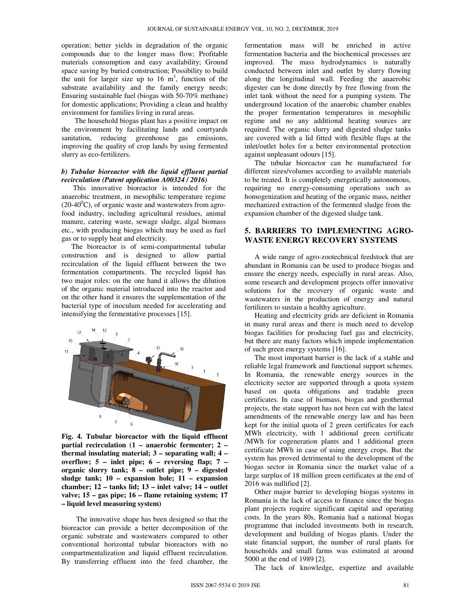operation; better yields in degradation of the organic compounds due to the longer mass flow; Profitable materials consumption and easy availability; Ground space saving by buried construction; Possibility to build the unit for larger size up to 16  $m<sup>3</sup>$ , function of the substrate availability and the family energy needs; Ensuring sustainable fuel (biogas with 50-70% methane) for domestic applications; Providing a clean and healthy environment for families living in rural areas.

The household biogas plant has a positive impact on the environment by facilitating lands and courtyards sanitation, reducing greenhouse gas emissions, improving the quality of crop lands by using fermented slurry as eco-fertilizers.

### *b) Tubular bioreactor with the liquid effluent partial recirculation (Patent application A00324 / 2016)*

 This innovative bioreactor is intended for the anaerobic treatment, in mesophilic temperature regime  $(20-40<sup>0</sup>C)$ , of organic waste and wastewaters from agrofood industry, including agricultural residues, animal manure, catering waste, sewage sludge, algal biomass etc., with producing biogas which may be used as fuel gas or to supply heat and electricity.

The bioreactor is of semi-compartmental tubular construction and is designed to allow partial recirculation of the liquid effluent between the two fermentation compartments. The recycled liquid has two major roles: on the one hand it allows the dilution of the organic material introduced into the reactor and on the other hand it ensures the supplementation of the bacterial type of inoculum needed for accelerating and intensifying the fermentative processes [15].



**Fig. 4. Tubular bioreactor with the liquid effluent partial recirculation (1 – anaerobic fermenter; 2 – thermal insulating material; 3 – separating wall; 4 – overflow; 5 – inlet pipe; 6 – reversing flap; 7 – organic slurry tank; 8 – outlet pipe; 9 – digested sludge tank; 10 – expansion hole; 11 – expansion chamber; 12 – tanks lid; 13 – inlet valve; 14 – outlet valve; 15 – gas pipe; 16 – flame retaining system; 17 – liquid level measuring system)** 

 The innovative shape has been designed so that the bioreactor can provide a better decomposition of the organic substrate and wastewaters compared to other conventional horizontal tubular bioreactors with no compartmentalization and liquid effluent recirculation. By transferring effluent into the feed chamber, the fermentation mass will be enriched in active fermentation bacteria and the biochemical processes are improved. The mass hydrodynamics is naturally conducted between inlet and outlet by slurry flowing along the longitudinal wall. Feeding the anaerobic digester can be done directly by free flowing from the inlet tank without the need for a pumping system. The underground location of the anaerobic chamber enables the proper fermentation temperatures in mesophilic regime and no any additional heating sources are required. The organic slurry and digested sludge tanks are covered with a lid fitted with flexible flaps at the inlet/outlet holes for a better environmental protection against unpleasant odours [15].

The tubular bioreactor can be manufactured for different sizes/volumes according to available materials to be treated. It is completely energetically autonomous, requiring no energy-consuming operations such as homogenization and heating of the organic mass, neither mechanized extraction of the fermented sludge from the expansion chamber of the digested sludge tank.

### **5. BARRIERS TO IMPLEMENTING AGRO-WASTE ENERGY RECOVERY SYSTEMS**

A wide range of agro-zootechnical feedstock that are abundant in Romania can be used to produce biogas and ensure the energy needs, especially in rural areas. Also, some research and development projects offer innovative solutions for the recovery of organic waste and wastewaters in the production of energy and natural fertilizers to sustain a healthy agriculture.

Heating and electricity grids are deficient in Romania in many rural areas and there is much need to develop biogas facilities for producing fuel gas and electricity, but there are many factors which impede implementation of such green energy systems [16].

The most important barrier is the lack of a stable and reliable legal framework and functional support schemes. In Romania, the renewable energy sources in the electricity sector are supported through a quota system based on quota obligations and tradable green certificates. In case of biomass, biogas and geothermal projects, the state support has not been cut with the latest amendments of the renewable energy law and has been kept for the initial quota of 2 green certificates for each MWh electricity, with 1 additional green certificate /MWh for cogeneration plants and 1 additional green certificate MWh in case of using energy crops. But the system has proved detrimental to the development of the biogas sector in Romania since the market value of a large surplus of 18 million green certificates at the end of 2016 was nullified [2].

Other major barrier to developing biogas systems in Romania is the lack of access to finance since the biogas plant projects require significant capital and operating costs. In the years 80s, Romania had a national biogas programme that included investments both in research, development and building of biogas plants. Under the state financial support, the number of rural plants for households and small farms was estimated at around 5000 at the end of 1989 [2].

The lack of knowledge, expertize and available